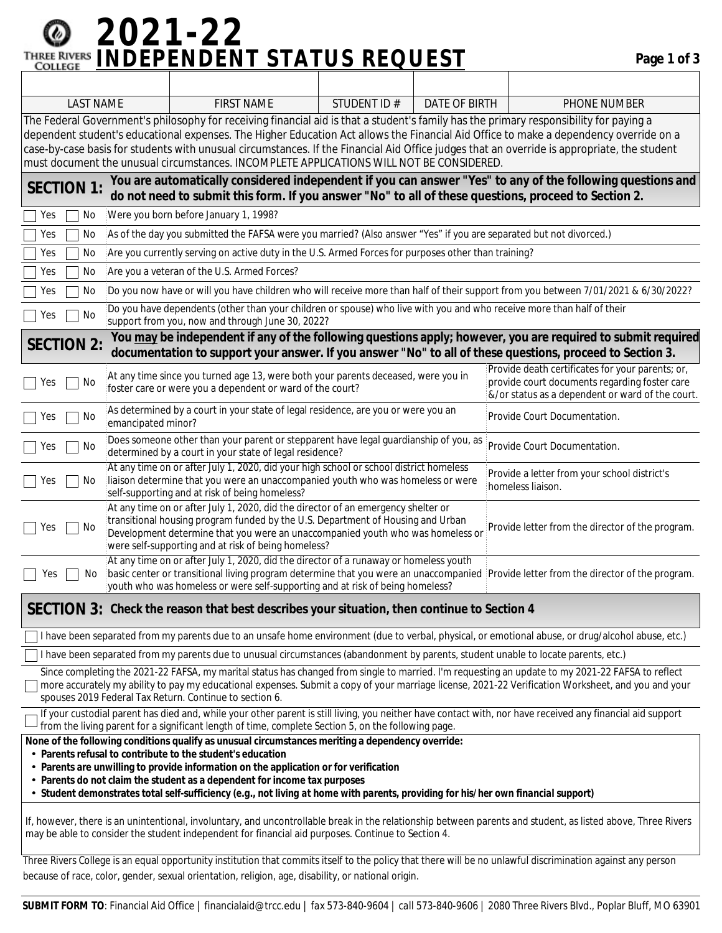## **2021-22 INDEPENDENT STATUS REQUEST Page 1 of 3**

| <b>LAST NAME</b>                                                                                                                                                                                                                                                                                                                                                                                                                                                                                                           |                                                                                                                                                                                                                                                                                                                                                                   | <b>FIRST NAME</b>                                                                                                                   | STUDENT ID# | <b>DATE OF BIRTH</b> |  | PHONE NUMBER                                                                                                                                          |  |  |
|----------------------------------------------------------------------------------------------------------------------------------------------------------------------------------------------------------------------------------------------------------------------------------------------------------------------------------------------------------------------------------------------------------------------------------------------------------------------------------------------------------------------------|-------------------------------------------------------------------------------------------------------------------------------------------------------------------------------------------------------------------------------------------------------------------------------------------------------------------------------------------------------------------|-------------------------------------------------------------------------------------------------------------------------------------|-------------|----------------------|--|-------------------------------------------------------------------------------------------------------------------------------------------------------|--|--|
| The Federal Government's philosophy for receiving financial aid is that a student's family has the primary responsibility for paying a<br>dependent student's educational expenses. The Higher Education Act allows the Financial Aid Office to make a dependency override on a<br>case-by-case basis for students with unusual circumstances. If the Financial Aid Office judges that an override is appropriate, the student<br>must document the unusual circumstances. INCOMPLETE APPLICATIONS WILL NOT BE CONSIDERED. |                                                                                                                                                                                                                                                                                                                                                                   |                                                                                                                                     |             |                      |  |                                                                                                                                                       |  |  |
| You are automatically considered independent if you can answer "Yes" to any of the following questions and<br><b>SECTION 1:</b><br>do not need to submit this form. If you answer "No" to all of these questions, proceed to Section 2.                                                                                                                                                                                                                                                                                    |                                                                                                                                                                                                                                                                                                                                                                   |                                                                                                                                     |             |                      |  |                                                                                                                                                       |  |  |
| Were you born before January 1, 1998?<br>No<br>Yes                                                                                                                                                                                                                                                                                                                                                                                                                                                                         |                                                                                                                                                                                                                                                                                                                                                                   |                                                                                                                                     |             |                      |  |                                                                                                                                                       |  |  |
| No<br>Yes                                                                                                                                                                                                                                                                                                                                                                                                                                                                                                                  | As of the day you submitted the FAFSA were you married? (Also answer "Yes" if you are separated but not divorced.)                                                                                                                                                                                                                                                |                                                                                                                                     |             |                      |  |                                                                                                                                                       |  |  |
| Yes<br>No                                                                                                                                                                                                                                                                                                                                                                                                                                                                                                                  | Are you currently serving on active duty in the U.S. Armed Forces for purposes other than training?                                                                                                                                                                                                                                                               |                                                                                                                                     |             |                      |  |                                                                                                                                                       |  |  |
| No<br>Yes                                                                                                                                                                                                                                                                                                                                                                                                                                                                                                                  | Are you a veteran of the U.S. Armed Forces?                                                                                                                                                                                                                                                                                                                       |                                                                                                                                     |             |                      |  |                                                                                                                                                       |  |  |
| No<br>Yes                                                                                                                                                                                                                                                                                                                                                                                                                                                                                                                  | Do you now have or will you have children who will receive more than half of their support from you between 7/01/2021 & 6/30/2022?                                                                                                                                                                                                                                |                                                                                                                                     |             |                      |  |                                                                                                                                                       |  |  |
| Yes<br>No                                                                                                                                                                                                                                                                                                                                                                                                                                                                                                                  | Do you have dependents (other than your children or spouse) who live with you and who receive more than half of their<br>support from you, now and through June 30, 2022?                                                                                                                                                                                         |                                                                                                                                     |             |                      |  |                                                                                                                                                       |  |  |
| You may be independent if any of the following questions apply; however, you are required to submit required<br><b>SECTION 2:</b><br>documentation to support your answer. If you answer "No" to all of these questions, proceed to Section 3.                                                                                                                                                                                                                                                                             |                                                                                                                                                                                                                                                                                                                                                                   |                                                                                                                                     |             |                      |  |                                                                                                                                                       |  |  |
| Yes<br>No                                                                                                                                                                                                                                                                                                                                                                                                                                                                                                                  | At any time since you turned age 13, were both your parents deceased, were you in<br>foster care or were you a dependent or ward of the court?                                                                                                                                                                                                                    |                                                                                                                                     |             |                      |  | Provide death certificates for your parents; or,<br>provide court documents regarding foster care<br>&/or status as a dependent or ward of the court. |  |  |
| No<br>Yes                                                                                                                                                                                                                                                                                                                                                                                                                                                                                                                  | As determined by a court in your state of legal residence, are you or were you an<br>Provide Court Documentation.<br>emancipated minor?                                                                                                                                                                                                                           |                                                                                                                                     |             |                      |  |                                                                                                                                                       |  |  |
| Yes<br>No                                                                                                                                                                                                                                                                                                                                                                                                                                                                                                                  | Does someone other than your parent or stepparent have legal guardianship of you, as<br>determined by a court in your state of legal residence?                                                                                                                                                                                                                   |                                                                                                                                     |             |                      |  | Provide Court Documentation.                                                                                                                          |  |  |
| Yes<br>No                                                                                                                                                                                                                                                                                                                                                                                                                                                                                                                  | At any time on or after July 1, 2020, did your high school or school district homeless<br>Ilaison determine that you were an unaccompanied youth who was homeless or were<br>self-supporting and at risk of being homeless?                                                                                                                                       |                                                                                                                                     |             |                      |  | Provide a letter from your school district's<br>homeless liaison.                                                                                     |  |  |
| Yes<br>No                                                                                                                                                                                                                                                                                                                                                                                                                                                                                                                  | At any time on or after July 1, 2020, did the director of an emergency shelter or<br>transitional housing program funded by the U.S. Department of Housing and Urban<br>Provide letter from the director of the program.<br>Development determine that you were an unaccompanied youth who was homeless or<br>were self-supporting and at risk of being homeless? |                                                                                                                                     |             |                      |  |                                                                                                                                                       |  |  |
| Yes<br>No                                                                                                                                                                                                                                                                                                                                                                                                                                                                                                                  | At any time on or after July 1, 2020, did the director of a runaway or homeless youth<br>basic center or transitional living program determine that you were an unaccompanied Provide letter from the director of the program.<br>youth who was homeless or were self-supporting and at risk of being homeless?                                                   |                                                                                                                                     |             |                      |  |                                                                                                                                                       |  |  |
|                                                                                                                                                                                                                                                                                                                                                                                                                                                                                                                            |                                                                                                                                                                                                                                                                                                                                                                   | SECTION 3: Check the reason that best describes your situation, then continue to Section 4                                          |             |                      |  |                                                                                                                                                       |  |  |
|                                                                                                                                                                                                                                                                                                                                                                                                                                                                                                                            |                                                                                                                                                                                                                                                                                                                                                                   |                                                                                                                                     |             |                      |  | I have been separated from my parents due to an unsafe home environment (due to verbal, physical, or emotional abuse, or drug/alcohol abuse, etc.)    |  |  |
|                                                                                                                                                                                                                                                                                                                                                                                                                                                                                                                            |                                                                                                                                                                                                                                                                                                                                                                   | I have been separated from my parents due to unusual circumstances (abandonment by parents, student unable to locate parents, etc.) |             |                      |  |                                                                                                                                                       |  |  |
| Since completing the 2021-22 FAFSA, my marital status has changed from single to married. I'm requesting an update to my 2021-22 FAFSA to reflect<br>more accurately my ability to pay my educational expenses. Submit a copy of your marriage license, 2021-22 Verification Worksheet, and you and your<br>spouses 2019 Federal Tax Return. Continue to section 6.                                                                                                                                                        |                                                                                                                                                                                                                                                                                                                                                                   |                                                                                                                                     |             |                      |  |                                                                                                                                                       |  |  |
| If your custodial parent has died and, while your other parent is still living, you neither have contact with, nor have received any financial aid support<br>from the living parent for a significant length of time, complete Section 5, on the following page.                                                                                                                                                                                                                                                          |                                                                                                                                                                                                                                                                                                                                                                   |                                                                                                                                     |             |                      |  |                                                                                                                                                       |  |  |
| None of the following conditions qualify as unusual circumstances meriting a dependency override:<br>• Parents refusal to contribute to the student's education<br>• Parents are unwilling to provide information on the application or for verification<br>• Parents do not claim the student as a dependent for income tax purposes<br>• Student demonstrates total self-sufficiency (e.g., not living at home with parents, providing for his/her own financial support)                                                |                                                                                                                                                                                                                                                                                                                                                                   |                                                                                                                                     |             |                      |  |                                                                                                                                                       |  |  |
| If, however, there is an unintentional, involuntary, and uncontrollable break in the relationship between parents and student, as listed above, Three Rivers<br>may be able to consider the student independent for financial aid purposes. Continue to Section 4.                                                                                                                                                                                                                                                         |                                                                                                                                                                                                                                                                                                                                                                   |                                                                                                                                     |             |                      |  |                                                                                                                                                       |  |  |

Three Rivers College is an equal opportunity institution that commits itself to the policy that there will be no unlawful discrimination against any person because of race, color, gender, sexual orientation, religion, age, disability, or national origin.

**SUBMIT FORM TO**: Financial Aid Office | financialaid@trcc.edu | *fax* 573-840-9604 | *call* 573-840-9606 | 2080 Three Rivers Blvd., Poplar Bluff, MO 63901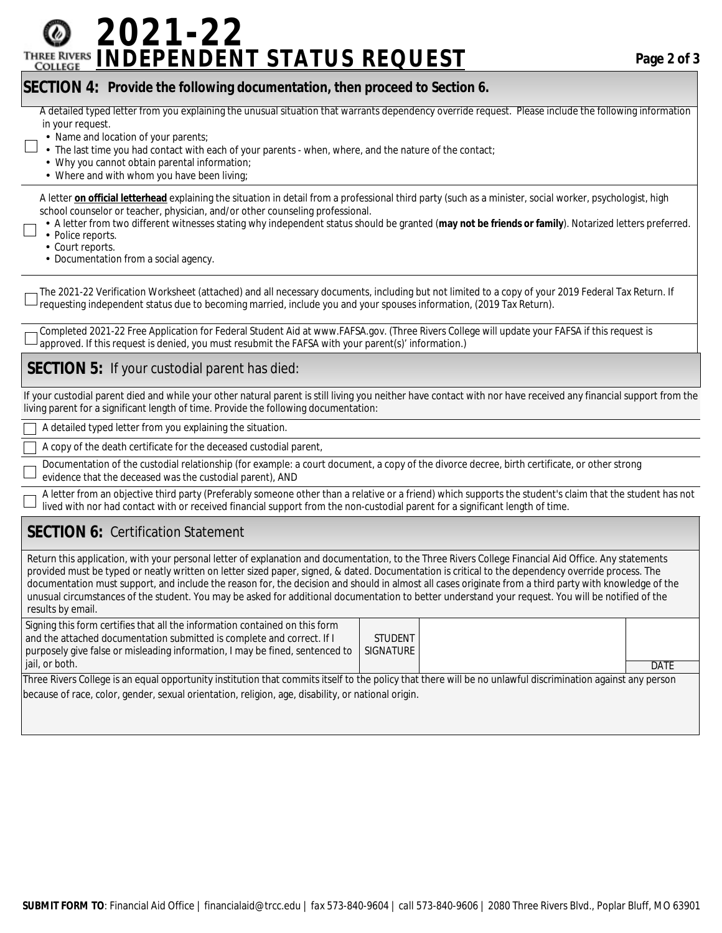# **2021-22 INDEPENDENT STATUS REQUEST Page 2 of 3**

#### **SECTION 4: Provide the following documentation, then proceed to Section 6.**

A detailed typed letter from you explaining the unusual situation that warrants dependency override request. Please include the following information in your request.

- Name and location of your parents;
- The last time you had contact with each of your parents when, where, and the nature of the contact;
- Why you cannot obtain parental information;
- Where and with whom you have been living;

 A letter **on official letterhead** explaining the situation in detail from a professional third party (such as a minister, social worker, psychologist, high school counselor or teacher, physician, and/or other counseling professional.

- A letter from two different witnesses stating why independent status should be granted (**may not be friends or family**). Notarized letters preferred.
- Police reports.
- Court reports. • Documentation from a social agency.

The 2021-22 Verification Worksheet (attached) and all necessary documents, including but not limited to a copy of your 2019 Federal Tax Return. If requesting independent status due to becoming married, include you and your spouses information, (2019 Tax Return).

Completed 2021-22 Free Application for Federal Student Aid at www.FAFSA.gov. (Three Rivers College will update your FAFSA if this request is approved. If this request is denied, you must resubmit the FAFSA with your parent(s)' information.)

#### **SECTION 5:** If your custodial parent has died:

If your custodial parent died and while your other natural parent is still living you neither have contact with nor have received any financial support from the living parent for a significant length of time. Provide the following documentation:

A detailed typed letter from you explaining the situation.

A copy of the death certificate for the deceased custodial parent,

Documentation of the custodial relationship (for example: a court document, a copy of the divorce decree, birth certificate, or other strong evidence that the deceased was the custodial parent), AND

A letter from an objective third party (Preferably someone other than a relative or a friend) which supports the student's claim that the student has not lived with nor had contact with or received financial support from the non-custodial parent for a significant length of time.

### **SECTION 6:** Certification Statement

Return this application, with your personal letter of explanation and documentation, to the Three Rivers College Financial Aid Office. Any statements provided must be typed or neatly written on letter sized paper, signed, & dated. Documentation is critical to the dependency override process. The documentation must support, and include the reason for, the decision and should in almost all cases originate from a third party with knowledge of the unusual circumstances of the student. You may be asked for additional documentation to better understand your request. You will be notified of the results by email.

| Signing this form certifies that all the information contained on this form<br>and the attached documentation submitted is complete and correct. If I       | <b>STUDENT</b> |  |      |  |  |  |  |
|-------------------------------------------------------------------------------------------------------------------------------------------------------------|----------------|--|------|--|--|--|--|
| purposely give false or misleading information, I may be fined, sentenced to                                                                                | SIGNATURE      |  |      |  |  |  |  |
| l jail, or both.                                                                                                                                            |                |  | DATE |  |  |  |  |
| Three Rivers College is an equal opportunity institution that commits itself to the policy that there will be no unlawful discrimination against any person |                |  |      |  |  |  |  |

Three Rivers College is an equal opportunity institution that commits itself to the policy that there will be no unlawful discrimination against any person because of race, color, gender, sexual orientation, religion, age, disability, or national origin.